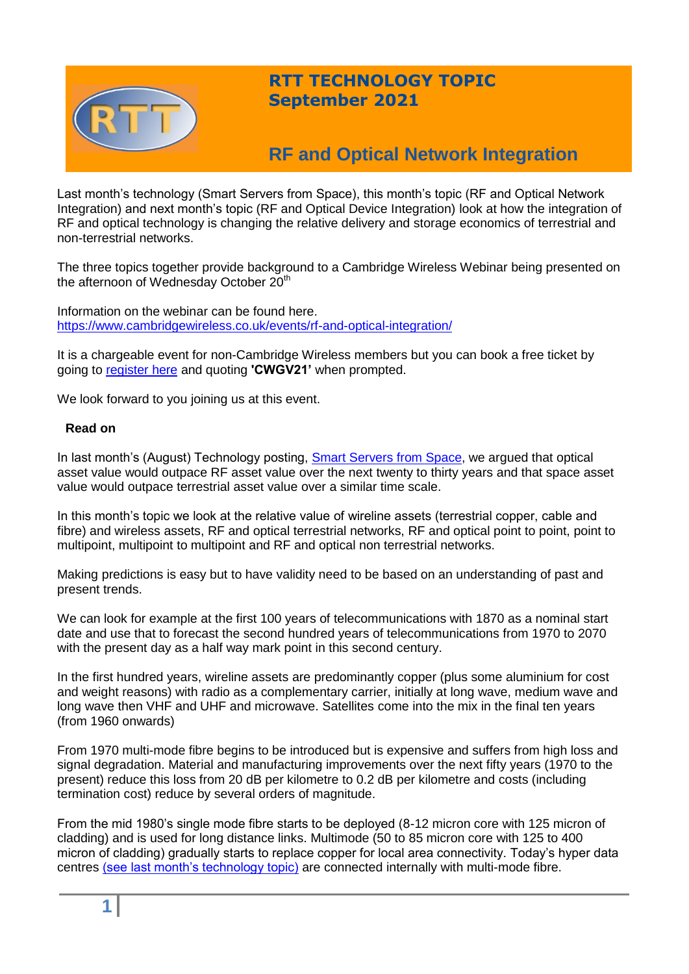

# **RTT TECHNOLOGY TOPIC September 2021**

# **RF and Optical Network Integration**

Last month's technology (Smart Servers from Space), this month's topic (RF and Optical Network Integration) and next month's topic (RF and Optical Device Integration) look at how the integration of RF and optical technology is changing the relative delivery and storage economics of terrestrial and non-terrestrial networks.

The three topics together provide background to a Cambridge Wireless Webinar being presented on the afternoon of Wednesday October 20<sup>th</sup>

Information on the webinar can be found here. <https://www.cambridgewireless.co.uk/events/rf-and-optical-integration/>

It is a chargeable event for non-Cambridge Wireless members but you can book a free ticket by going to [register here](https://www.cambridgewireless.co.uk/events/rf-and-optical-integration) and quoting **'CWGV21'** when prompted.

We look forward to you joining us at this event.

## **Read on**

In last month's (August) Technology posting, [Smart Servers from Space,](http://www.rttonline.com/tt/TT2021_008.pdf) we argued that optical asset value would outpace RF asset value over the next twenty to thirty years and that space asset value would outpace terrestrial asset value over a similar time scale.

In this month's topic we look at the relative value of wireline assets (terrestrial copper, cable and fibre) and wireless assets, RF and optical terrestrial networks, RF and optical point to point, point to multipoint, multipoint to multipoint and RF and optical non terrestrial networks.

Making predictions is easy but to have validity need to be based on an understanding of past and present trends.

We can look for example at the first 100 years of telecommunications with 1870 as a nominal start date and use that to forecast the second hundred years of telecommunications from 1970 to 2070 with the present day as a half way mark point in this second century.

In the first hundred years, wireline assets are predominantly copper (plus some aluminium for cost and weight reasons) with radio as a complementary carrier, initially at long wave, medium wave and long wave then VHF and UHF and microwave. Satellites come into the mix in the final ten years (from 1960 onwards)

From 1970 multi-mode fibre begins to be introduced but is expensive and suffers from high loss and signal degradation. Material and manufacturing improvements over the next fifty years (1970 to the present) reduce this loss from 20 dB per kilometre to 0.2 dB per kilometre and costs (including termination cost) reduce by several orders of magnitude.

From the mid 1980's single mode fibre starts to be deployed (8-12 micron core with 125 micron of cladding) and is used for long distance links. Multimode (50 to 85 micron core with 125 to 400 micron of cladding) gradually starts to replace copper for local area connectivity. Today's hyper data centres [\(see last month's technology topic\)](http://www.rttonline.com/tt/TT2021_008.pdf) are connected internally with multi-mode fibre.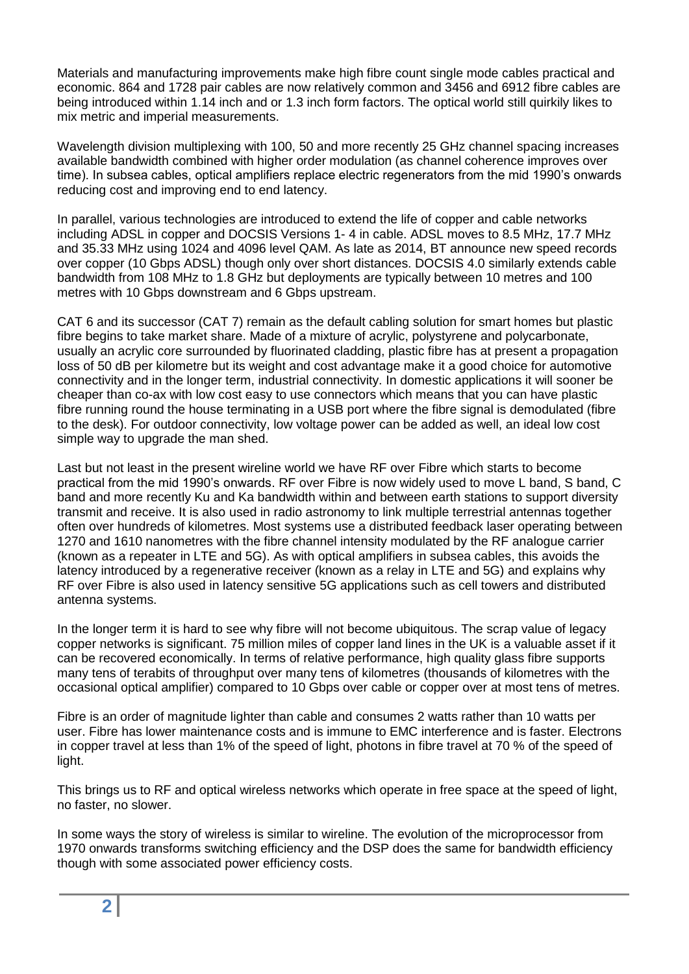Materials and manufacturing improvements make high fibre count single mode cables practical and economic. 864 and 1728 pair cables are now relatively common and 3456 and 6912 fibre cables are being introduced within 1.14 inch and or 1.3 inch form factors. The optical world still quirkily likes to mix metric and imperial measurements.

Wavelength division multiplexing with 100, 50 and more recently 25 GHz channel spacing increases available bandwidth combined with higher order modulation (as channel coherence improves over time). In subsea cables, optical amplifiers replace electric regenerators from the mid 1990's onwards reducing cost and improving end to end latency.

In parallel, various technologies are introduced to extend the life of copper and cable networks including ADSL in copper and DOCSIS Versions 1- 4 in cable. ADSL moves to 8.5 MHz, 17.7 MHz and 35.33 MHz using 1024 and 4096 level QAM. As late as 2014, BT announce new speed records over copper (10 Gbps ADSL) though only over short distances. DOCSIS 4.0 similarly extends cable bandwidth from 108 MHz to 1.8 GHz but deployments are typically between 10 metres and 100 metres with 10 Gbps downstream and 6 Gbps upstream.

CAT 6 and its successor (CAT 7) remain as the default cabling solution for smart homes but plastic fibre begins to take market share. Made of a mixture of acrylic, polystyrene and polycarbonate, usually an acrylic core surrounded by fluorinated cladding, plastic fibre has at present a propagation loss of 50 dB per kilometre but its weight and cost advantage make it a good choice for automotive connectivity and in the longer term, industrial connectivity. In domestic applications it will sooner be cheaper than co-ax with low cost easy to use connectors which means that you can have plastic fibre running round the house terminating in a USB port where the fibre signal is demodulated (fibre to the desk). For outdoor connectivity, low voltage power can be added as well, an ideal low cost simple way to upgrade the man shed.

Last but not least in the present wireline world we have RF over Fibre which starts to become practical from the mid 1990's onwards. RF over Fibre is now widely used to move L band, S band, C band and more recently Ku and Ka bandwidth within and between earth stations to support diversity transmit and receive. It is also used in radio astronomy to link multiple terrestrial antennas together often over hundreds of kilometres. Most systems use a distributed feedback laser operating between 1270 and 1610 nanometres with the fibre channel intensity modulated by the RF analogue carrier (known as a repeater in LTE and 5G). As with optical amplifiers in subsea cables, this avoids the latency introduced by a regenerative receiver (known as a relay in LTE and 5G) and explains why RF over Fibre is also used in latency sensitive 5G applications such as cell towers and distributed antenna systems.

In the longer term it is hard to see why fibre will not become ubiquitous. The scrap value of legacy copper networks is significant. 75 million miles of copper land lines in the UK is a valuable asset if it can be recovered economically. In terms of relative performance, high quality glass fibre supports many tens of terabits of throughput over many tens of kilometres (thousands of kilometres with the occasional optical amplifier) compared to 10 Gbps over cable or copper over at most tens of metres.

Fibre is an order of magnitude lighter than cable and consumes 2 watts rather than 10 watts per user. Fibre has lower maintenance costs and is immune to EMC interference and is faster. Electrons in copper travel at less than 1% of the speed of light, photons in fibre travel at 70 % of the speed of light.

This brings us to RF and optical wireless networks which operate in free space at the speed of light, no faster, no slower.

In some ways the story of wireless is similar to wireline. The evolution of the microprocessor from 1970 onwards transforms switching efficiency and the DSP does the same for bandwidth efficiency though with some associated power efficiency costs.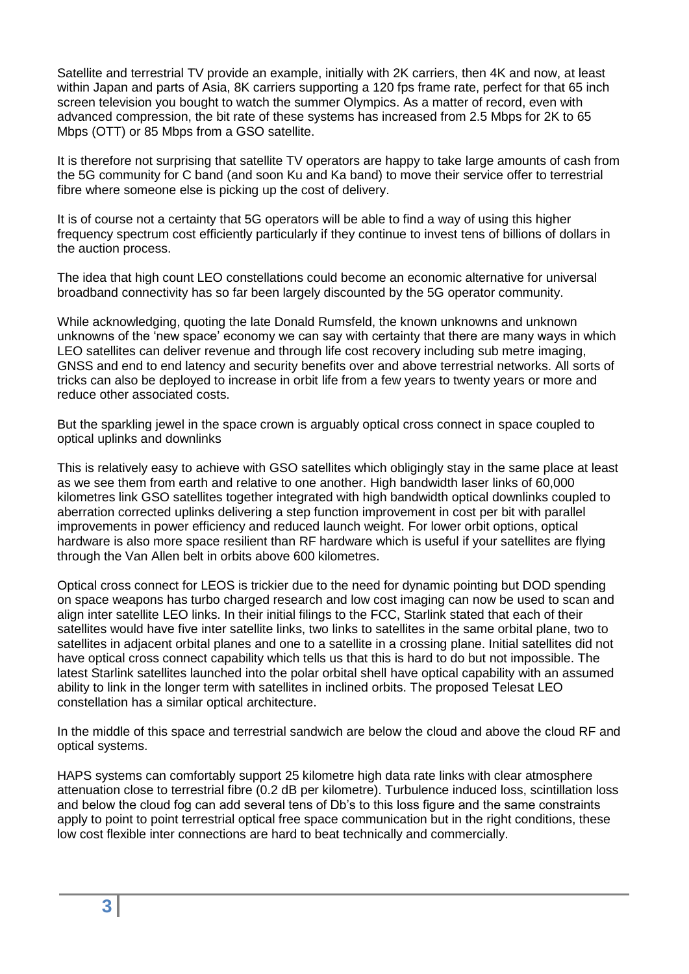Satellite and terrestrial TV provide an example, initially with 2K carriers, then 4K and now, at least within Japan and parts of Asia, 8K carriers supporting a 120 fps frame rate, perfect for that 65 inch screen television you bought to watch the summer Olympics. As a matter of record, even with advanced compression, the bit rate of these systems has increased from 2.5 Mbps for 2K to 65 Mbps (OTT) or 85 Mbps from a GSO satellite.

It is therefore not surprising that satellite TV operators are happy to take large amounts of cash from the 5G community for C band (and soon Ku and Ka band) to move their service offer to terrestrial fibre where someone else is picking up the cost of delivery.

It is of course not a certainty that 5G operators will be able to find a way of using this higher frequency spectrum cost efficiently particularly if they continue to invest tens of billions of dollars in the auction process.

The idea that high count LEO constellations could become an economic alternative for universal broadband connectivity has so far been largely discounted by the 5G operator community.

While acknowledging, quoting the late Donald Rumsfeld, the known unknowns and unknown unknowns of the 'new space' economy we can say with certainty that there are many ways in which LEO satellites can deliver revenue and through life cost recovery including sub metre imaging, GNSS and end to end latency and security benefits over and above terrestrial networks. All sorts of tricks can also be deployed to increase in orbit life from a few years to twenty years or more and reduce other associated costs.

But the sparkling jewel in the space crown is arguably optical cross connect in space coupled to optical uplinks and downlinks

This is relatively easy to achieve with GSO satellites which obligingly stay in the same place at least as we see them from earth and relative to one another. High bandwidth laser links of 60,000 kilometres link GSO satellites together integrated with high bandwidth optical downlinks coupled to aberration corrected uplinks delivering a step function improvement in cost per bit with parallel improvements in power efficiency and reduced launch weight. For lower orbit options, optical hardware is also more space resilient than RF hardware which is useful if your satellites are flying through the Van Allen belt in orbits above 600 kilometres.

Optical cross connect for LEOS is trickier due to the need for dynamic pointing but DOD spending on space weapons has turbo charged research and low cost imaging can now be used to scan and align inter satellite LEO links. In their initial filings to the FCC, Starlink stated that each of their satellites would have five inter satellite links, two links to satellites in the same orbital plane, two to satellites in adjacent orbital planes and one to a satellite in a crossing plane. Initial satellites did not have optical cross connect capability which tells us that this is hard to do but not impossible. The latest Starlink satellites launched into the polar orbital shell have optical capability with an assumed ability to link in the longer term with satellites in inclined orbits. The proposed Telesat LEO constellation has a similar optical architecture.

In the middle of this space and terrestrial sandwich are below the cloud and above the cloud RF and optical systems.

HAPS systems can comfortably support 25 kilometre high data rate links with clear atmosphere attenuation close to terrestrial fibre (0.2 dB per kilometre). Turbulence induced loss, scintillation loss and below the cloud fog can add several tens of Db's to this loss figure and the same constraints apply to point to point terrestrial optical free space communication but in the right conditions, these low cost flexible inter connections are hard to beat technically and commercially.